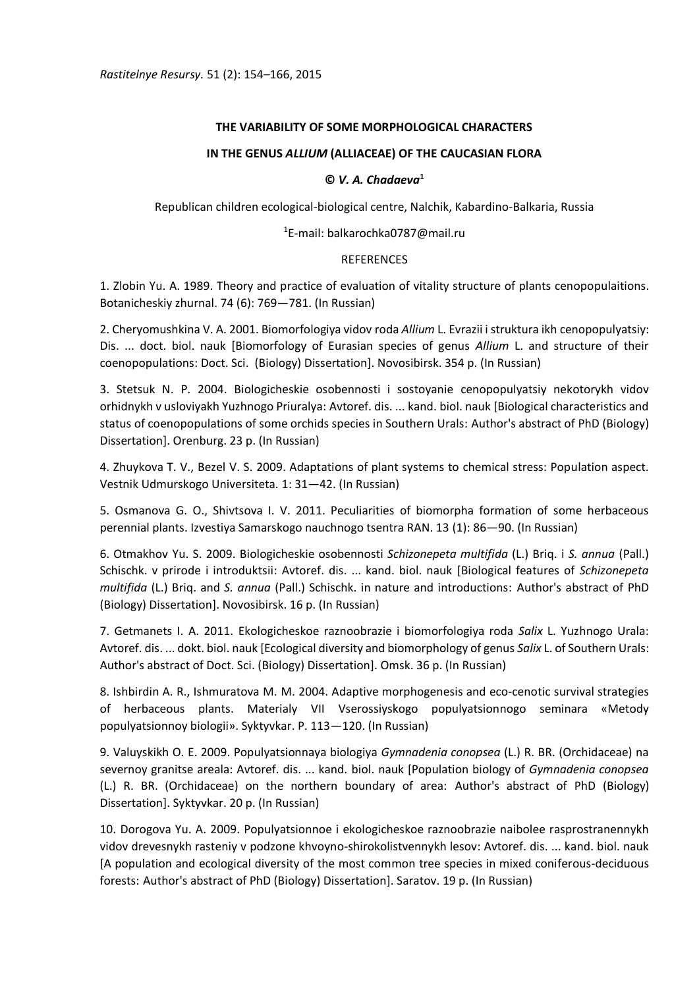# **THE VARIABILITY OF SOME MORPHOLOGICAL CHARACTERS**

# **IN THE GENUS** *ALLIUM* **(ALLIACEAE) OF THE CAUCASIAN FLORA**

### **©** *V. A. Chadaeva***<sup>1</sup>**

Republican children ecological-biological centre, Nalchik, Kabardino-Balkaria, Russia

### <sup>1</sup>E-mail: balkarochka0787@mail.ru

# REFERENCES

1. Zlobin Yu. A. 1989. Theory and practice of evaluation of vitality structure of plants cenopopulaitions. Botanicheskiy zhurnal. 74 (6): 769—781. (In Russian)

2. Cheryomushkina V. A. 2001. Biomorfologiya vidov roda *Allium* L. Evrazii i struktura ikh cenopopulyatsiy: Dis. ... doct. biol. nauk [Biomorfology of Eurasian species of genus *Allium* L. and structure of their coenopopulations: Doct. Sci. (Biology) Dissertation]. Novosibirsk. 354 p. (In Russian)

3. Stetsuk N. P. 2004. Biologicheskie osobennosti i sostoyanie cenopopulyatsiy nekotorykh vidov orhidnykh v usloviyakh Yuzhnogo Priuralya: Avtoref. dis. ... kand. biol. nauk [Biological characteristics and status of coenopopulations of some orchids species in Southern Urals: Author's abstract of PhD (Biology) Dissertation]. Orenburg. 23 p. (In Russian)

4. Zhuykova T. V., Bezel V. S. 2009. Adaptations of plant systems to chemical stress: Population aspect. Vestnik Udmurskogo Universiteta. 1: 31—42. (In Russian)

5. Osmanova G. O., Shivtsova I. V. 2011. Peculiarities of biomorpha formation of some herbaceous perennial plants. Izvestiya Samarskogo nauchnogo tsentra RAN. 13 (1): 86—90. (In Russian)

6. Otmakhov Yu. S. 2009. Biologicheskie osobennosti *Schizonepeta multifida* (L.) Briq. i *S. annua* (Pall.) Schischk. v prirode i introduktsii: Avtoref. dis. ... kand. biol. nauk [Biological features of *Schizonepeta multifida* (L.) Briq. and *S. annua* (Pall.) Schischk. in nature and introductions: Author's abstract of PhD (Biology) Dissertation]. Novosibirsk. 16 p. (In Russian)

7. Getmanets I. A. 2011. Ekologicheskoe raznoobrazie i biomorfologiya roda *Salix* L. Yuzhnogo Urala: Avtoref. dis. ... dokt. biol. nauk [Ecological diversity and biomorphology of genus *Salix* L. of Southern Urals: Author's abstract of Doct. Sci. (Biology) Dissertation]. Omsk. 36 p. (In Russian)

8. Ishbirdin A. R., Ishmuratova M. M. 2004. Adaptive morphogenesis and eco-cenotic survival strategies of herbaceous plants. Materialy VII Vserossiyskogo populyatsionnogo seminara «Metody populyatsionnoy biologii». Syktyvkar. P. 113—120. (In Russian)

9. Valuyskikh O. E. 2009. Populyatsionnaya biologiya *Gymnadenia conopsea* (L.) R. BR. (Orchidaceae) na severnoy granitse areala: Avtoref. dis. ... kand. biol. nauk [Population biology of *Gymnadenia conopsea*  (L.) R. BR. (Orchidaceae) оn the northern boundary of area: Author's abstract of PhD (Biology) Dissertation]. Syktyvkar. 20 p. (In Russian)

10. Dorogova Yu. A. 2009. Populyatsionnoe i ekologicheskoe raznoobrazie naibolee rasprostranennykh vidov drevesnykh rasteniy v podzone khvoyno-shirokolistvennykh lesov: Avtoref. dis. ... kand. biol. nauk [A population and ecological diversity of the most common tree species in mixed coniferous-deciduous forests: Author's abstract of PhD (Biology) Dissertation]. Saratov. 19 p. (In Russian)